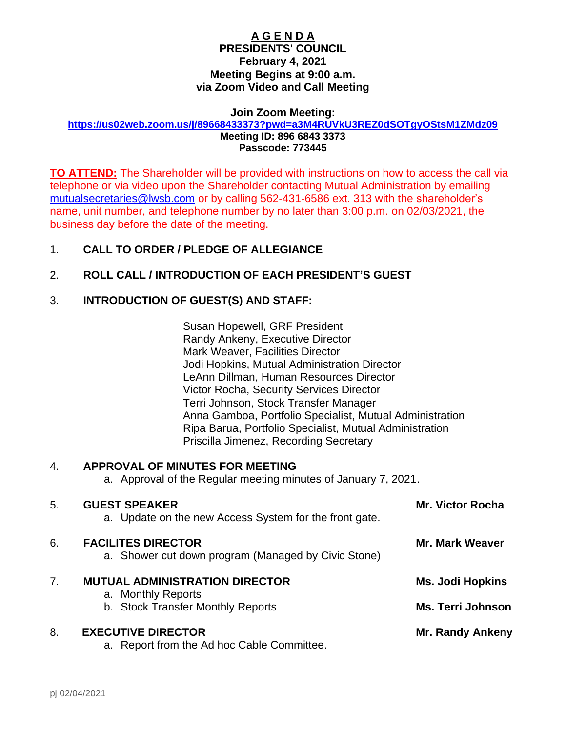#### **A G E N D A PRESIDENTS' COUNCIL February 4, 2021 Meeting Begins at 9:00 a.m. via Zoom Video and Call Meeting**

#### **Join Zoom Meeting: <https://us02web.zoom.us/j/89668433373?pwd=a3M4RUVkU3REZ0dSOTgyOStsM1ZMdz09>**

**Meeting ID: 896 6843 3373 Passcode: 773445**

**TO ATTEND:** The Shareholder will be provided with instructions on how to access the call via telephone or via video upon the Shareholder contacting Mutual Administration by emailing [mutualsecretaries@lwsb.com](mailto:mutualsecretaries@lwsb.com) or by calling 562-431-6586 ext. 313 with the shareholder's name, unit number, and telephone number by no later than 3:00 p.m. on 02/03/2021, the business day before the date of the meeting.

## 1. **CALL TO ORDER / PLEDGE OF ALLEGIANCE**

## 2. **ROLL CALL / INTRODUCTION OF EACH PRESIDENT'S GUEST**

## 3. **INTRODUCTION OF GUEST(S) AND STAFF:**

Susan Hopewell, GRF President Randy Ankeny, Executive Director Mark Weaver, Facilities Director Jodi Hopkins, Mutual Administration Director LeAnn Dillman, Human Resources Director Victor Rocha, Security Services Director Terri Johnson, Stock Transfer Manager Anna Gamboa, Portfolio Specialist, Mutual Administration Ripa Barua, Portfolio Specialist, Mutual Administration Priscilla Jimenez, Recording Secretary

### 4. **APPROVAL OF MINUTES FOR MEETING**

a. Approval of the Regular meeting minutes of January 7, 2021.

| 5.             | <b>GUEST SPEAKER</b><br>a. Update on the new Access System for the front gate.   | <b>Mr. Victor Rocha</b>  |
|----------------|----------------------------------------------------------------------------------|--------------------------|
| 6.             | <b>FACILITES DIRECTOR</b><br>a. Shower cut down program (Managed by Civic Stone) | <b>Mr. Mark Weaver</b>   |
| 7 <sub>1</sub> | <b>MUTUAL ADMINISTRATION DIRECTOR</b><br>a. Monthly Reports                      | <b>Ms. Jodi Hopkins</b>  |
|                | b. Stock Transfer Monthly Reports                                                | <b>Ms. Terri Johnson</b> |
| 8.             | <b>EXECUTIVE DIRECTOR</b><br>a. Report from the Ad hoc Cable Committee.          | <b>Mr. Randy Ankeny</b>  |